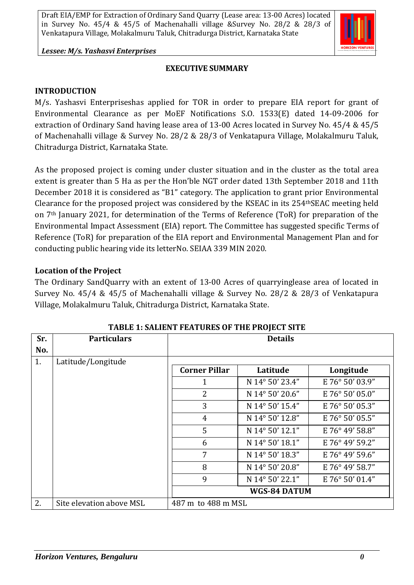*Lessee: M/s. Yashasvi Enterprises*

### **EXECUTIVE SUMMARY**

#### **INTRODUCTION**

M/s. Yashasvi Enterpriseshas applied for TOR in order to prepare EIA report for grant of Environmental Clearance as per MoEF Notifications S.O. 1533(E) dated 14-09-2006 for extraction of Ordinary Sand having lease area of 13-00 Acres located in Survey No. 45/4 & 45/5 of Machenahalli village & Survey No. 28/2 & 28/3 of Venkatapura Village, Molakalmuru Taluk, Chitradurga District, Karnataka State.

As the proposed project is coming under cluster situation and in the cluster as the total area extent is greater than 5 Ha as per the Hon'ble NGT order dated 13th September 2018 and 11th December 2018 it is considered as "B1" category. The application to grant prior Environmental Clearance for the proposed project was considered by the KSEAC in its 254thSEAC meeting held on 7th January 2021, for determination of the Terms of Reference (ToR) for preparation of the Environmental Impact Assessment (EIA) report. The Committee has suggested specific Terms of Reference (ToR) for preparation of the EIA report and Environmental Management Plan and for conducting public hearing vide its letterNo. SEIAA 339 MIN 2020.

#### **Location of the Project**

The Ordinary SandQuarry with an extent of 13-00 Acres of quarryinglease area of located in Survey No. 45/4 & 45/5 of Machenahalli village & Survey No. 28/2 & 28/3 of Venkatapura Village, Molakalmuru Taluk, Chitradurga District, Karnataka State.

| Sr. | <b>Particulars</b>       | <b>Details</b>       |                 |                 |  |  |
|-----|--------------------------|----------------------|-----------------|-----------------|--|--|
| No. |                          |                      |                 |                 |  |  |
| 1.  | Latitude/Longitude       |                      |                 |                 |  |  |
|     |                          | <b>Corner Pillar</b> | Latitude        | Longitude       |  |  |
|     |                          | 1                    | N 14° 50' 23.4" | E 76° 50' 03.9" |  |  |
|     |                          | 2                    | N 14° 50' 20.6" | E 76° 50' 05.0" |  |  |
|     |                          | 3                    | N 14° 50' 15.4" | E 76° 50' 05.3" |  |  |
|     |                          | $\overline{4}$       | N 14° 50' 12.8" | E 76° 50' 05.5" |  |  |
|     |                          | 5                    | N 14° 50' 12.1" | E 76° 49' 58.8" |  |  |
|     |                          | 6                    | N 14° 50' 18.1" | E 76° 49' 59.2" |  |  |
|     |                          | $\overline{7}$       | N 14° 50' 18.3" | E 76° 49' 59.6" |  |  |
|     |                          | 8                    | N 14° 50' 20.8" | E 76° 49' 58.7" |  |  |
|     |                          | 9                    | N 14° 50' 22.1" | E 76° 50' 01.4" |  |  |
|     |                          | <b>WGS-84 DATUM</b>  |                 |                 |  |  |
| 2.  | Site elevation above MSL | 487 m to 488 m MSL   |                 |                 |  |  |

#### **TABLE 1: SALIENT FEATURES OF THE PROJECT SITE**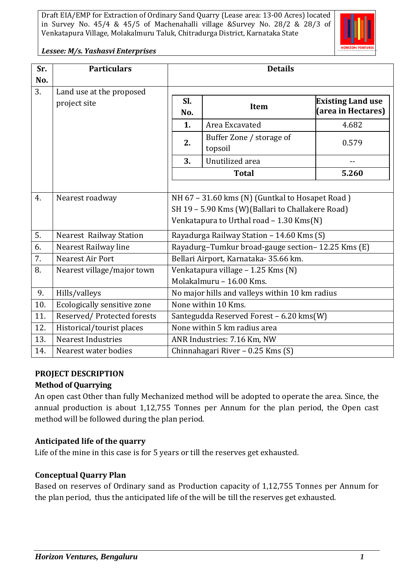

*Lessee: M/s. Yashasvi Enterprises*

| Sr. | <b>Particulars</b>                       | <b>Details</b>                                    |                                          |                                                |  |  |  |
|-----|------------------------------------------|---------------------------------------------------|------------------------------------------|------------------------------------------------|--|--|--|
| No. |                                          |                                                   |                                          |                                                |  |  |  |
| 3.  | Land use at the proposed<br>project site | Sl.<br>No.                                        | Item                                     | <b>Existing Land use</b><br>(area in Hectares) |  |  |  |
|     |                                          | 1.                                                | Area Excavated                           | 4.682                                          |  |  |  |
|     |                                          | 2.                                                | Buffer Zone / storage of<br>topsoil      | 0.579                                          |  |  |  |
|     |                                          | 3.                                                | Unutilized area                          | $-$                                            |  |  |  |
|     |                                          |                                                   | <b>Total</b>                             | 5.260                                          |  |  |  |
|     |                                          |                                                   |                                          |                                                |  |  |  |
| 4.  | Nearest roadway                          | NH 67 - 31.60 kms (N) (Guntkal to Hosapet Road)   |                                          |                                                |  |  |  |
|     |                                          | SH 19 - 5.90 Kms (W)(Ballari to Challakere Road)  |                                          |                                                |  |  |  |
|     |                                          |                                                   | Venkatapura to Urthal road - 1.30 Kms(N) |                                                |  |  |  |
| 5.  | <b>Nearest Railway Station</b>           | Rayadurga Railway Station - 14.60 Kms (S)         |                                          |                                                |  |  |  |
| 6.  | Nearest Railway line                     | Rayadurg-Tumkur broad-gauge section-12.25 Kms (E) |                                          |                                                |  |  |  |
| 7.  | Nearest Air Port                         | Bellari Airport, Karnataka-35.66 km.              |                                          |                                                |  |  |  |
| 8.  | Nearest village/major town               | Venkatapura village - 1.25 Kms (N)                |                                          |                                                |  |  |  |
|     |                                          | Molakalmuru - 16.00 Kms.                          |                                          |                                                |  |  |  |
| 9.  | Hills/valleys                            | No major hills and valleys within 10 km radius    |                                          |                                                |  |  |  |
| 10. | Ecologically sensitive zone              | None within 10 Kms.                               |                                          |                                                |  |  |  |
| 11. | Reserved/Protected forests               | Santegudda Reserved Forest - 6.20 kms(W)          |                                          |                                                |  |  |  |
| 12. | Historical/tourist places                | None within 5 km radius area                      |                                          |                                                |  |  |  |
| 13. | <b>Nearest Industries</b>                | ANR Industries: 7.16 Km, NW                       |                                          |                                                |  |  |  |
| 14. | Nearest water bodies                     | Chinnahagari River - 0.25 Kms (S)                 |                                          |                                                |  |  |  |

### **PROJECT DESCRIPTION**

### **Method of Quarrying**

An open cast Other than fully Mechanized method will be adopted to operate the area. Since, the annual production is about 1,12,755 Tonnes per Annum for the plan period, the Open cast method will be followed during the plan period.

### **Anticipated life of the quarry**

Life of the mine in this case is for 5 years or till the reserves get exhausted.

### **Conceptual Quarry Plan**

Based on reserves of Ordinary sand as Production capacity of 1,12,755 Tonnes per Annum for the plan period, thus the anticipated life of the will be till the reserves get exhausted.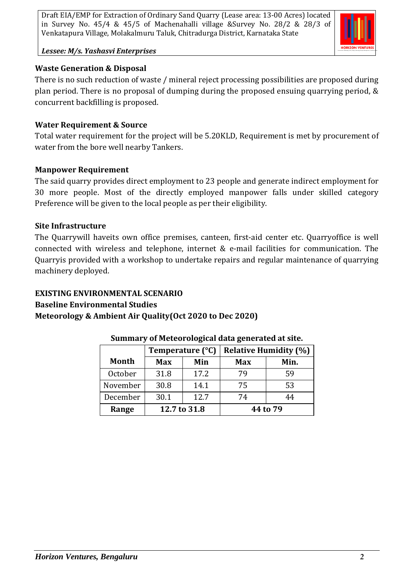

#### *Lessee: M/s. Yashasvi Enterprises*

### **Waste Generation & Disposal**

There is no such reduction of waste / mineral reject processing possibilities are proposed during plan period. There is no proposal of dumping during the proposed ensuing quarrying period, & concurrent backfilling is proposed.

### **Water Requirement & Source**

Total water requirement for the project will be 5.20KLD, Requirement is met by procurement of water from the bore well nearby Tankers.

### **Manpower Requirement**

The said quarry provides direct employment to 23 people and generate indirect employment for 30 more people. Most of the directly employed manpower falls under skilled category Preference will be given to the local people as per their eligibility.

### **Site Infrastructure**

The Quarrywill haveits own office premises, canteen, first-aid center etc. Quarryoffice is well connected with wireless and telephone, internet & e-mail facilities for communication. The Quarryis provided with a workshop to undertake repairs and regular maintenance of quarrying machinery deployed.

# **EXISTING ENVIRONMENTAL SCENARIO Baseline Environmental Studies Meteorology & Ambient Air Quality(Oct 2020 to Dec 2020)**

|          | Temperature (°C) |      | <b>Relative Humidity (%)</b> |      |
|----------|------------------|------|------------------------------|------|
| Month    | <b>Max</b>       | Min  | <b>Max</b>                   | Min. |
| October  | 31.8             | 17.2 | 79                           | 59   |
| November | 30.8             | 14.1 | 75                           | 53   |
| December | 30.1             | 12.7 | 74                           | 44   |
| Range    | 12.7 to 31.8     |      | 44 to 79                     |      |

### **Summary of Meteorological data generated at site.**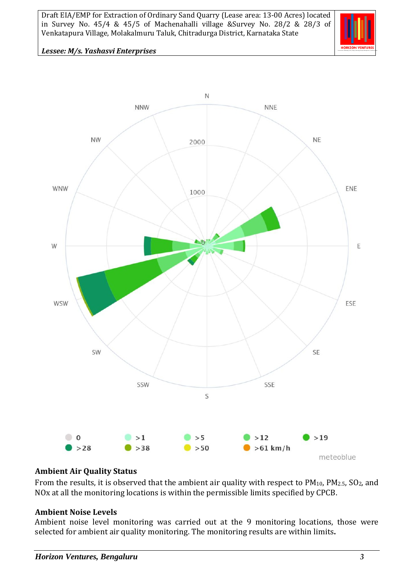

#### *Lessee: M/s. Yashasvi Enterprises*



#### **Ambient Air Quality Status**

From the results, it is observed that the ambient air quality with respect to  $PM_{10}$ ,  $PM_{2.5}$ ,  $SO_2$ , and NOx at all the monitoring locations is within the permissible limits specified by CPCB.

#### **Ambient Noise Levels**

Ambient noise level monitoring was carried out at the 9 monitoring locations, those were selected for ambient air quality monitoring. The monitoring results are within limits**.**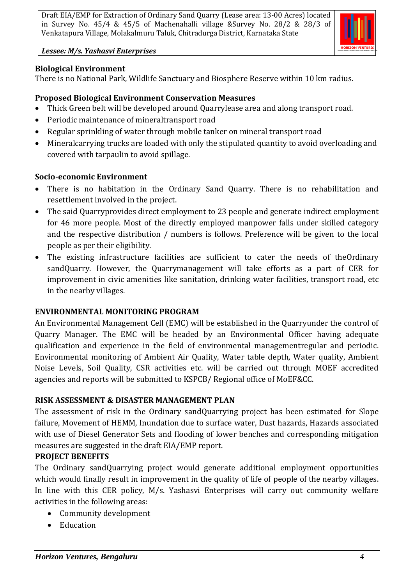

*Lessee: M/s. Yashasvi Enterprises*

## **Biological Environment**

There is no National Park, Wildlife Sanctuary and Biosphere Reserve within 10 km radius.

# **Proposed Biological Environment Conservation Measures**

- Thick Green belt will be developed around Quarrylease area and along transport road.
- Periodic maintenance of mineraltransport road
- Regular sprinkling of water through mobile tanker on mineral transport road
- Mineralcarrying trucks are loaded with only the stipulated quantity to avoid overloading and covered with tarpaulin to avoid spillage.

# **Socio-economic Environment**

- There is no habitation in the Ordinary Sand Quarry. There is no rehabilitation and resettlement involved in the project.
- The said Quarryprovides direct employment to 23 people and generate indirect employment for 46 more people. Most of the directly employed manpower falls under skilled category and the respective distribution / numbers is follows. Preference will be given to the local people as per their eligibility.
- The existing infrastructure facilities are sufficient to cater the needs of theOrdinary sandQuarry. However, the Quarrymanagement will take efforts as a part of CER for improvement in civic amenities like sanitation, drinking water facilities, transport road, etc in the nearby villages.

### **ENVIRONMENTAL MONITORING PROGRAM**

An Environmental Management Cell (EMC) will be established in the Quarryunder the control of Quarry Manager. The EMC will be headed by an Environmental Officer having adequate qualification and experience in the field of environmental managementregular and periodic. Environmental monitoring of Ambient Air Quality, Water table depth, Water quality, Ambient Noise Levels, Soil Quality, CSR activities etc. will be carried out through MOEF accredited agencies and reports will be submitted to KSPCB/ Regional office of MoEF&CC.

### **RISK ASSESSMENT & DISASTER MANAGEMENT PLAN**

The assessment of risk in the Ordinary sandQuarrying project has been estimated for Slope failure, Movement of HEMM, Inundation due to surface water, Dust hazards, Hazards associated with use of Diesel Generator Sets and flooding of lower benches and corresponding mitigation measures are suggested in the draft EIA/EMP report.

### **PROJECT BENEFITS**

The Ordinary sandQuarrying project would generate additional employment opportunities which would finally result in improvement in the quality of life of people of the nearby villages. In line with this CER policy, M/s. Yashasvi Enterprises will carry out community welfare activities in the following areas:

- Community development
- Education